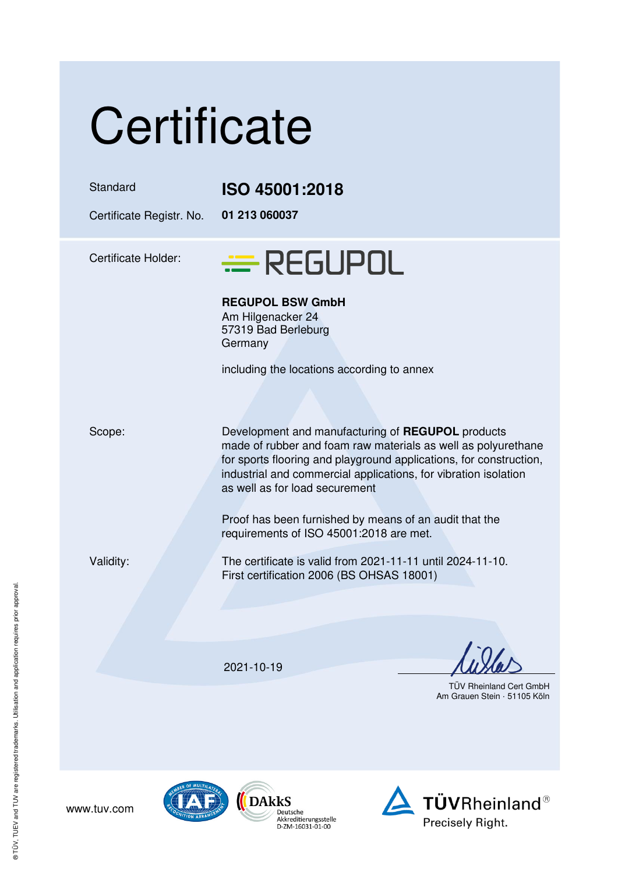| Certificate              |                |
|--------------------------|----------------|
| Standard                 | ISO 45001:2018 |
| Certificate Registr. No. | 01 213 060037  |

Certificate Holder:

## = REGUPOL

**REGUPOL BSW GmbH** 

Am Hilgenacker 24 57319 Bad Berleburg **Germany** 

including the locations according to annex

Scope: Development and manufacturing of **REGUPOL** products made of rubber and foam raw materials as well as polyurethane for sports flooring and playground applications, for construction, industrial and commercial applications, for vibration isolation as well as for load securement

> Proof has been furnished by means of an audit that the requirements of ISO 45001:2018 are met.

Validity: The certificate is valid from 2021-11-11 until 2024-11-10. First certification 2006 (BS OHSAS 18001)

2021-10-19

 TÜV Rheinland Cert GmbH Am Grauen Stein · 51105 Köln